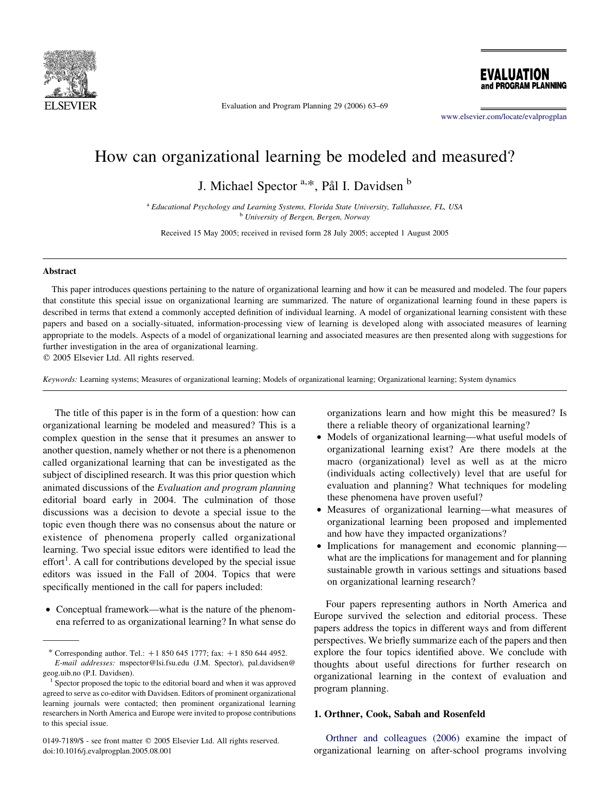

Evaluation and Program Planning 29 (2006) 63–69

[www.elsevier.com/locate/evalprogplan](http://www.elsevier.com/locate/evalprogplan)

EVALUATION and PROGRAM PLANNING

# How can organizational learning be modeled and measured?

J. Michael Spector <sup>a,\*</sup>, Pål I. Davidsen <sup>b</sup>

<sup>a</sup> Educational Psychology and Learning Systems, Florida State University, Tallahassee, FL, USA <sup>b</sup> University of Bergen, Bergen, Norway

Received 15 May 2005; received in revised form 28 July 2005; accepted 1 August 2005

#### Abstract

This paper introduces questions pertaining to the nature of organizational learning and how it can be measured and modeled. The four papers that constitute this special issue on organizational learning are summarized. The nature of organizational learning found in these papers is described in terms that extend a commonly accepted definition of individual learning. A model of organizational learning consistent with these papers and based on a socially-situated, information-processing view of learning is developed along with associated measures of learning appropriate to the models. Aspects of a model of organizational learning and associated measures are then presented along with suggestions for further investigation in the area of organizational learning.

 $© 2005 Elsevier Ltd. All rights reserved.$ 

Keywords: Learning systems; Measures of organizational learning; Models of organizational learning; Organizational learning; System dynamics

The title of this paper is in the form of a question: how can organizational learning be modeled and measured? This is a complex question in the sense that it presumes an answer to another question, namely whether or not there is a phenomenon called organizational learning that can be investigated as the subject of disciplined research. It was this prior question which animated discussions of the Evaluation and program planning editorial board early in 2004. The culmination of those discussions was a decision to devote a special issue to the topic even though there was no consensus about the nature or existence of phenomena properly called organizational learning. Two special issue editors were identified to lead the effort<sup>1</sup>. A call for contributions developed by the special issue editors was issued in the Fall of 2004. Topics that were specifically mentioned in the call for papers included:

• Conceptual framework—what is the nature of the phenomena referred to as organizational learning? In what sense do

0149-7189/\$ - see front matter © 2005 Elsevier Ltd. All rights reserved. doi:10.1016/j.evalprogplan.2005.08.001

organizations learn and how might this be measured? Is there a reliable theory of organizational learning?

- Models of organizational learning—what useful models of organizational learning exist? Are there models at the macro (organizational) level as well as at the micro (individuals acting collectively) level that are useful for evaluation and planning? What techniques for modeling these phenomena have proven useful?
- † Measures of organizational learning—what measures of organizational learning been proposed and implemented and how have they impacted organizations?
- Implications for management and economic planning what are the implications for management and for planning sustainable growth in various settings and situations based on organizational learning research?

Four papers representing authors in North America and Europe survived the selection and editorial process. These papers address the topics in different ways and from different perspectives. We briefly summarize each of the papers and then explore the four topics identified above. We conclude with thoughts about useful directions for further research on organizational learning in the context of evaluation and program planning.

## 1. Orthner, Cook, Sabah and Rosenfeld

[Orthner and colleagues \(2006\)](#page--1-0) examine the impact of organizational learning on after-school programs involving

<sup>\*</sup> Corresponding author. Tel.:  $+18506451777$ ; fax:  $+18506444952$ . E-mail addresses: mspector@lsi.fsu.edu (J.M. Spector), pal.davidsen@

geog.uib.no (P.I. Davidsen).<br><sup>1</sup> Spector proposed the topic to the editorial board and when it was approved

agreed to serve as co-editor with Davidsen. Editors of prominent organizational learning journals were contacted; then prominent organizational learning researchers in North America and Europe were invited to propose contributions to this special issue.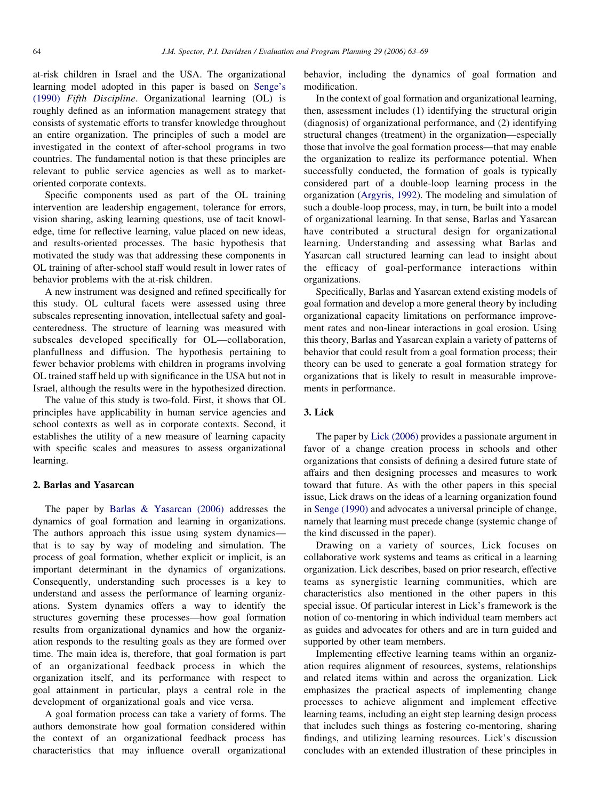at-risk children in Israel and the USA. The organizational learning model adopted in this paper is based on [Senge's](#page--1-0) [\(1990\)](#page--1-0) Fifth Discipline. Organizational learning (OL) is roughly defined as an information management strategy that consists of systematic efforts to transfer knowledge throughout an entire organization. The principles of such a model are investigated in the context of after-school programs in two countries. The fundamental notion is that these principles are relevant to public service agencies as well as to marketoriented corporate contexts.

Specific components used as part of the OL training intervention are leadership engagement, tolerance for errors, vision sharing, asking learning questions, use of tacit knowledge, time for reflective learning, value placed on new ideas, and results-oriented processes. The basic hypothesis that motivated the study was that addressing these components in OL training of after-school staff would result in lower rates of behavior problems with the at-risk children.

A new instrument was designed and refined specifically for this study. OL cultural facets were assessed using three subscales representing innovation, intellectual safety and goalcenteredness. The structure of learning was measured with subscales developed specifically for OL—collaboration, planfullness and diffusion. The hypothesis pertaining to fewer behavior problems with children in programs involving OL trained staff held up with significance in the USA but not in Israel, although the results were in the hypothesized direction.

The value of this study is two-fold. First, it shows that OL principles have applicability in human service agencies and school contexts as well as in corporate contexts. Second, it establishes the utility of a new measure of learning capacity with specific scales and measures to assess organizational learning.

#### 2. Barlas and Yasarcan

The paper by [Barlas & Yasarcan \(2006\)](#page--1-0) addresses the dynamics of goal formation and learning in organizations. The authors approach this issue using system dynamics that is to say by way of modeling and simulation. The process of goal formation, whether explicit or implicit, is an important determinant in the dynamics of organizations. Consequently, understanding such processes is a key to understand and assess the performance of learning organizations. System dynamics offers a way to identify the structures governing these processes—how goal formation results from organizational dynamics and how the organization responds to the resulting goals as they are formed over time. The main idea is, therefore, that goal formation is part of an organizational feedback process in which the organization itself, and its performance with respect to goal attainment in particular, plays a central role in the development of organizational goals and vice versa.

A goal formation process can take a variety of forms. The authors demonstrate how goal formation considered within the context of an organizational feedback process has characteristics that may influence overall organizational

behavior, including the dynamics of goal formation and modification.

In the context of goal formation and organizational learning, then, assessment includes (1) identifying the structural origin (diagnosis) of organizational performance, and (2) identifying structural changes (treatment) in the organization—especially those that involve the goal formation process—that may enable the organization to realize its performance potential. When successfully conducted, the formation of goals is typically considered part of a double-loop learning process in the organization [\(Argyris, 1992\)](#page--1-0). The modeling and simulation of such a double-loop process, may, in turn, be built into a model of organizational learning. In that sense, Barlas and Yasarcan have contributed a structural design for organizational learning. Understanding and assessing what Barlas and Yasarcan call structured learning can lead to insight about the efficacy of goal-performance interactions within organizations.

Specifically, Barlas and Yasarcan extend existing models of goal formation and develop a more general theory by including organizational capacity limitations on performance improvement rates and non-linear interactions in goal erosion. Using this theory, Barlas and Yasarcan explain a variety of patterns of behavior that could result from a goal formation process; their theory can be used to generate a goal formation strategy for organizations that is likely to result in measurable improvements in performance.

### 3. Lick

The paper by [Lick \(2006\)](#page--1-0) provides a passionate argument in favor of a change creation process in schools and other organizations that consists of defining a desired future state of affairs and then designing processes and measures to work toward that future. As with the other papers in this special issue, Lick draws on the ideas of a learning organization found in [Senge \(1990\)](#page--1-0) and advocates a universal principle of change, namely that learning must precede change (systemic change of the kind discussed in the paper).

Drawing on a variety of sources, Lick focuses on collaborative work systems and teams as critical in a learning organization. Lick describes, based on prior research, effective teams as synergistic learning communities, which are characteristics also mentioned in the other papers in this special issue. Of particular interest in Lick's framework is the notion of co-mentoring in which individual team members act as guides and advocates for others and are in turn guided and supported by other team members.

Implementing effective learning teams within an organization requires alignment of resources, systems, relationships and related items within and across the organization. Lick emphasizes the practical aspects of implementing change processes to achieve alignment and implement effective learning teams, including an eight step learning design process that includes such things as fostering co-mentoring, sharing findings, and utilizing learning resources. Lick's discussion concludes with an extended illustration of these principles in